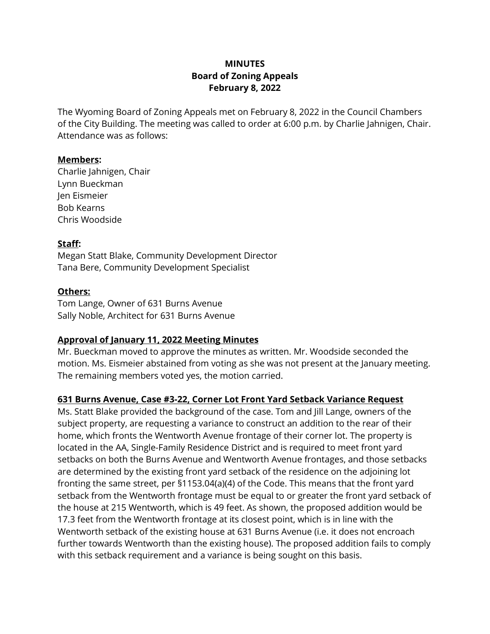# **MINUTES Board of Zoning Appeals February 8, 2022**

The Wyoming Board of Zoning Appeals met on February 8, 2022 in the Council Chambers of the City Building. The meeting was called to order at 6:00 p.m. by Charlie Jahnigen, Chair. Attendance was as follows:

### **Members:**

Charlie Jahnigen, Chair Lynn Bueckman Jen Eismeier Bob Kearns Chris Woodside

### **Staff:**

Megan Statt Blake, Community Development Director Tana Bere, Community Development Specialist

### **Others:**

Tom Lange, Owner of 631 Burns Avenue Sally Noble, Architect for 631 Burns Avenue

## **Approval of January 11, 2022 Meeting Minutes**

Mr. Bueckman moved to approve the minutes as written. Mr. Woodside seconded the motion. Ms. Eismeier abstained from voting as she was not present at the January meeting. The remaining members voted yes, the motion carried.

## **631 Burns Avenue, Case #3-22, Corner Lot Front Yard Setback Variance Request**

Ms. Statt Blake provided the background of the case. Tom and Jill Lange, owners of the subject property, are requesting a variance to construct an addition to the rear of their home, which fronts the Wentworth Avenue frontage of their corner lot. The property is located in the AA, Single-Family Residence District and is required to meet front yard setbacks on both the Burns Avenue and Wentworth Avenue frontages, and those setbacks are determined by the existing front yard setback of the residence on the adjoining lot fronting the same street, per §1153.04(a)(4) of the Code. This means that the front yard setback from the Wentworth frontage must be equal to or greater the front yard setback of the house at 215 Wentworth, which is 49 feet. As shown, the proposed addition would be 17.3 feet from the Wentworth frontage at its closest point, which is in line with the Wentworth setback of the existing house at 631 Burns Avenue (i.e. it does not encroach further towards Wentworth than the existing house). The proposed addition fails to comply with this setback requirement and a variance is being sought on this basis.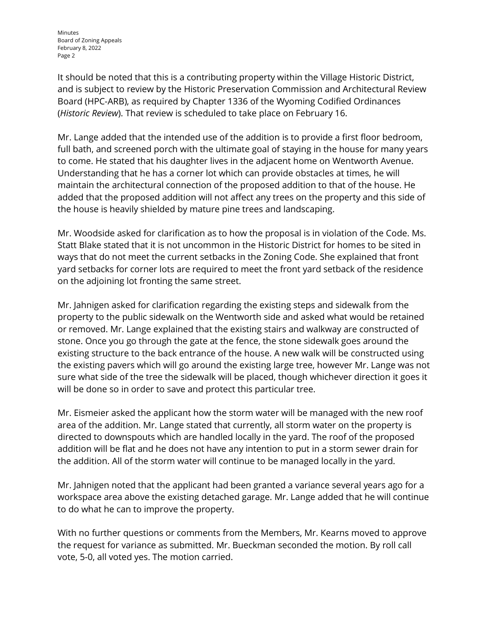Minutes Board of Zoning Appeals February 8, 2022 Page 2

It should be noted that this is a contributing property within the Village Historic District, and is subject to review by the Historic Preservation Commission and Architectural Review Board (HPC-ARB), as required by Chapter 1336 of the Wyoming Codified Ordinances (*Historic Review*). That review is scheduled to take place on February 16.

Mr. Lange added that the intended use of the addition is to provide a first floor bedroom, full bath, and screened porch with the ultimate goal of staying in the house for many years to come. He stated that his daughter lives in the adjacent home on Wentworth Avenue. Understanding that he has a corner lot which can provide obstacles at times, he will maintain the architectural connection of the proposed addition to that of the house. He added that the proposed addition will not affect any trees on the property and this side of the house is heavily shielded by mature pine trees and landscaping.

Mr. Woodside asked for clarification as to how the proposal is in violation of the Code. Ms. Statt Blake stated that it is not uncommon in the Historic District for homes to be sited in ways that do not meet the current setbacks in the Zoning Code. She explained that front yard setbacks for corner lots are required to meet the front yard setback of the residence on the adjoining lot fronting the same street.

Mr. Jahnigen asked for clarification regarding the existing steps and sidewalk from the property to the public sidewalk on the Wentworth side and asked what would be retained or removed. Mr. Lange explained that the existing stairs and walkway are constructed of stone. Once you go through the gate at the fence, the stone sidewalk goes around the existing structure to the back entrance of the house. A new walk will be constructed using the existing pavers which will go around the existing large tree, however Mr. Lange was not sure what side of the tree the sidewalk will be placed, though whichever direction it goes it will be done so in order to save and protect this particular tree.

Mr. Eismeier asked the applicant how the storm water will be managed with the new roof area of the addition. Mr. Lange stated that currently, all storm water on the property is directed to downspouts which are handled locally in the yard. The roof of the proposed addition will be flat and he does not have any intention to put in a storm sewer drain for the addition. All of the storm water will continue to be managed locally in the yard.

Mr. Jahnigen noted that the applicant had been granted a variance several years ago for a workspace area above the existing detached garage. Mr. Lange added that he will continue to do what he can to improve the property.

With no further questions or comments from the Members, Mr. Kearns moved to approve the request for variance as submitted. Mr. Bueckman seconded the motion. By roll call vote, 5-0, all voted yes. The motion carried.